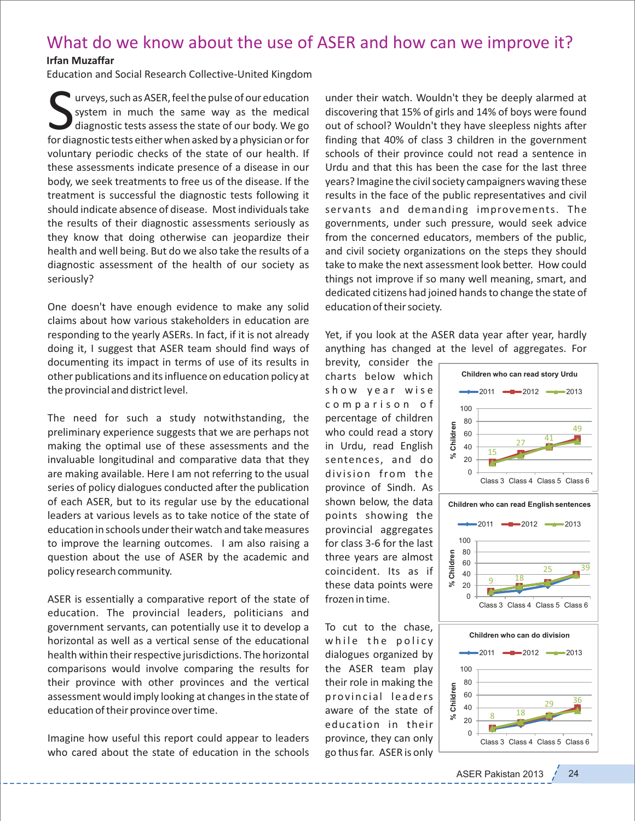## What do we know about the use of ASER and how can we improve it?

## **Irfan Muzaffar**

Education and Social Research Collective‐United Kingdom

Surveys, such as ASER, feel the pulse of our education<br>system in much the same way as the medical<br>diagnostic tests assess the state of our body. We go<br>for diagnostic tests either when asked by a physician or for urveys, such as ASER, feel the pulse of our education system in much the same way as the medical diagnostic tests assess the state of our body. We go voluntary periodic checks of the state of our health. If these assessments indicate presence of a disease in our body, we seek treatments to free us of the disease. If the treatment is successful the diagnostic tests following it should indicate absence of disease. Most individuals take the results of their diagnostic assessments seriously as they know that doing otherwise can jeopardize their health and well being. But do we also take the results of a diagnostic assessment of the health of our society as seriously?

One doesn't have enough evidence to make any solid claims about how various stakeholders in education are responding to the yearly ASERs. In fact, if it is not already doing it, I suggest that ASER team should find ways of documenting its impact in terms of use of its results in other publications and its influence on education policy at the provincial and district level.

The need for such a study notwithstanding, the preliminary experience suggests that we are perhaps not making the optimal use of these assessments and the invaluable longitudinal and comparative data that they are making available. Here I am not referring to the usual series of policy dialogues conducted after the publication of each ASER, but to its regular use by the educational leaders at various levels as to take notice of the state of education in schools under their watch and take measures to improve the learning outcomes. I am also raising a question about the use of ASER by the academic and policy research community.

ASER is essentially a comparative report of the state of education. The provincial leaders, politicians and government servants, can potentially use it to develop a horizontal as well as a vertical sense of the educational health within their respective jurisdictions. The horizontal comparisons would involve comparing the results for their province with other provinces and the vertical assessment would imply looking at changes in the state of education of their province over time.

Imagine how useful this report could appear to leaders who cared about the state of education in the schools

under their watch. Wouldn't they be deeply alarmed at discovering that 15% of girls and 14% of boys were found out of school? Wouldn't they have sleepless nights after finding that 40% of class 3 children in the government schools of their province could not read a sentence in Urdu and that this has been the case for the last three years? Imagine the civil society campaigners waving these results in the face of the public representatives and civil servants and demanding improvements. The governments, under such pressure, would seek advice from the concerned educators, members of the public, and civil society organizations on the steps they should take to make the next assessment look better. How could things not improve if so many well meaning, smart, and dedicated citizens had joined hands to change the state of education of their society.

Yet, if you look at the ASER data year after year, hardly anything has changed at the level of aggregates. For

brevity, consider the charts below which show year wise c o m p a r i s o n o f percentage of children who could read a story in Urdu, read English sentences, and do division from the province of Sindh. As shown below, the data points showing the provincial aggregates for class 3‐6 for the last three years are almost coincident. Its as if these data points were frozen in time.

To cut to the chase, while the policy dialogues organized by the ASER team play their role in making the prov inc ial leaders aware of the state of education in their province, they can only go thus far. ASER is only